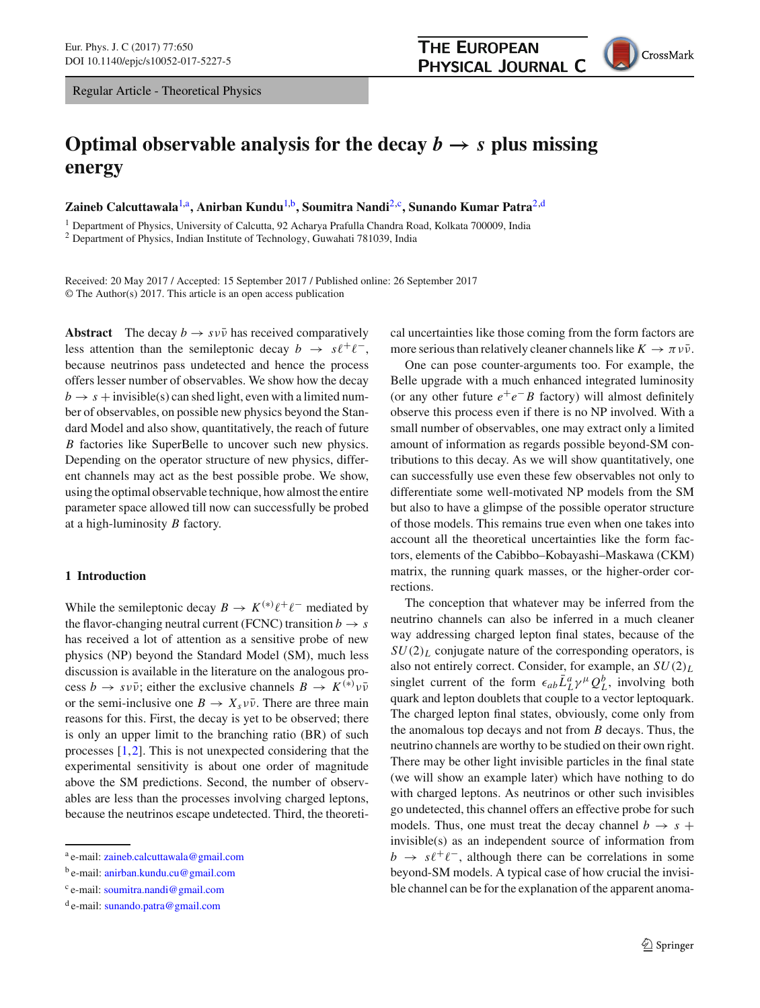Regular Article - Theoretical Physics

# **Optimal observable analysis for the decay**  $b \rightarrow s$  plus missing **energy**

Zaineb Calcuttawala<sup>[1,](#page-0-0)a</sup>, Anirban Kundu<sup>1,b</sup>, Soumitra Nandi<sup>[2,](#page-0-0)c</sup>, Sunando Kumar Patra<sup>2,d</sup>

<sup>1</sup> Department of Physics, University of Calcutta, 92 Acharya Prafulla Chandra Road, Kolkata 700009, India

<sup>2</sup> Department of Physics, Indian Institute of Technology, Guwahati 781039, India

Received: 20 May 2017 / Accepted: 15 September 2017 / Published online: 26 September 2017 © The Author(s) 2017. This article is an open access publication

**Abstract** The decay  $b \rightarrow s v \bar{v}$  has received comparatively less attention than the semileptonic decay  $b \rightarrow s\ell^+\ell^-$ , because neutrinos pass undetected and hence the process offers lesser number of observables. We show how the decay  $b \rightarrow s +$  invisible(s) can shed light, even with a limited number of observables, on possible new physics beyond the Standard Model and also show, quantitatively, the reach of future *B* factories like SuperBelle to uncover such new physics. Depending on the operator structure of new physics, different channels may act as the best possible probe. We show, using the optimal observable technique, how almost the entire parameter space allowed till now can successfully be probed at a high-luminosity *B* factory.

## **1 Introduction**

While the semileptonic decay  $B \to K^{(*)} \ell^+ \ell^-$  mediated by the flavor-changing neutral current (FCNC) transition  $b \rightarrow s$ has received a lot of attention as a sensitive probe of new physics (NP) beyond the Standard Model (SM), much less discussion is available in the literature on the analogous process  $b \to s \nu \bar{\nu}$ ; either the exclusive channels  $B \to K^{(*)} \nu \bar{\nu}$ or the semi-inclusive one  $B \to X_s v\bar{v}$ . There are three main reasons for this. First, the decay is yet to be observed; there is only an upper limit to the branching ratio (BR) of such processes [\[1](#page-14-0)[,2](#page-14-1)]. This is not unexpected considering that the experimental sensitivity is about one order of magnitude above the SM predictions. Second, the number of observables are less than the processes involving charged leptons, because the neutrinos escape undetected. Third, the theoretical uncertainties like those coming from the form factors are more serious than relatively cleaner channels like  $K \to \pi \nu \bar{\nu}$ .

One can pose counter-arguments too. For example, the Belle upgrade with a much enhanced integrated luminosity (or any other future  $e^+e^-B$  factory) will almost definitely observe this process even if there is no NP involved. With a small number of observables, one may extract only a limited amount of information as regards possible beyond-SM contributions to this decay. As we will show quantitatively, one can successfully use even these few observables not only to differentiate some well-motivated NP models from the SM but also to have a glimpse of the possible operator structure of those models. This remains true even when one takes into account all the theoretical uncertainties like the form factors, elements of the Cabibbo–Kobayashi–Maskawa (CKM) matrix, the running quark masses, or the higher-order corrections.

The conception that whatever may be inferred from the neutrino channels can also be inferred in a much cleaner way addressing charged lepton final states, because of the  $SU(2)_L$  conjugate nature of the corresponding operators, is also not entirely correct. Consider, for example, an *SU*(2)*<sup>L</sup>* singlet current of the form  $\epsilon_{ab} \bar{L}_{L}^a \gamma^{\mu} Q_L^b$ , involving both quark and lepton doublets that couple to a vector leptoquark. The charged lepton final states, obviously, come only from the anomalous top decays and not from *B* decays. Thus, the neutrino channels are worthy to be studied on their own right. There may be other light invisible particles in the final state (we will show an example later) which have nothing to do with charged leptons. As neutrinos or other such invisibles go undetected, this channel offers an effective probe for such models. Thus, one must treat the decay channel  $b \rightarrow s +$ invisible(s) as an independent source of information from  $b \rightarrow s\ell^+\ell^-$ , although there can be correlations in some beyond-SM models. A typical case of how crucial the invisible channel can be for the explanation of the apparent anoma-

<span id="page-0-0"></span>

a e-mail: [zaineb.calcuttawala@gmail.com](mailto:zaineb.calcuttawala@gmail.com)

<sup>&</sup>lt;sup>b</sup> e-mail: [anirban.kundu.cu@gmail.com](mailto:anirban.kundu.cu@gmail.com)

<sup>&</sup>lt;sup>c</sup> e-mail: [soumitra.nandi@gmail.com](mailto:soumitra.nandi@gmail.com)

<sup>&</sup>lt;sup>d</sup> e-mail: [sunando.patra@gmail.com](mailto:sunando.patra@gmail.com)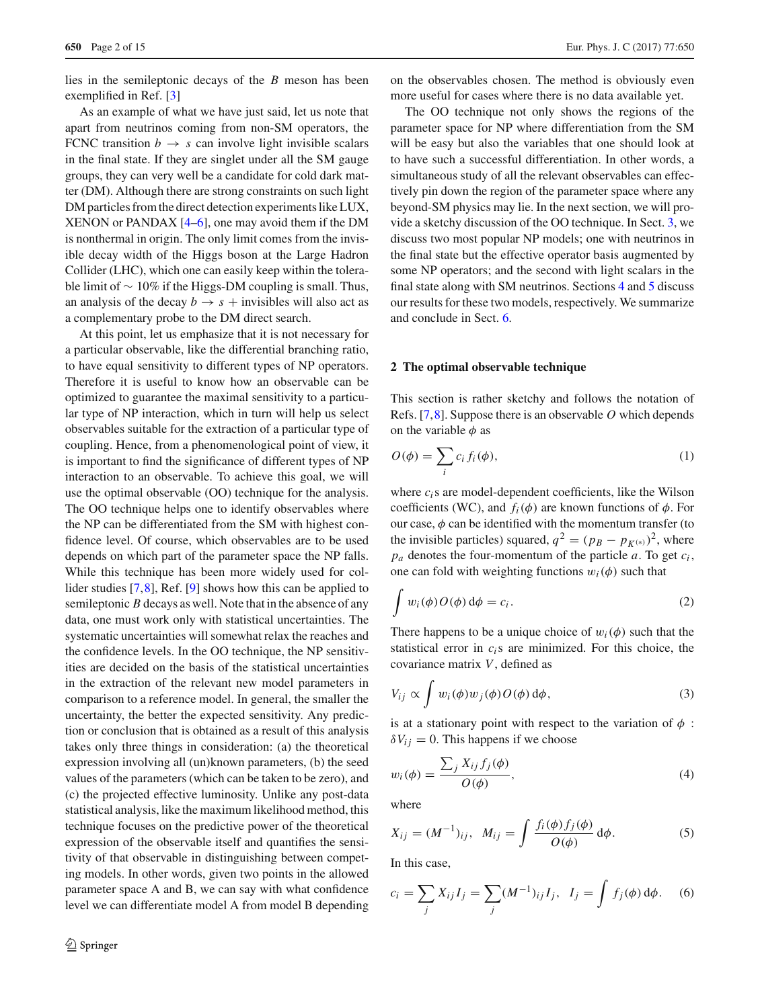lies in the semileptonic decays of the *B* meson has been exemplified in Ref. [\[3](#page-14-2)]

As an example of what we have just said, let us note that apart from neutrinos coming from non-SM operators, the FCNC transition  $b \rightarrow s$  can involve light invisible scalars in the final state. If they are singlet under all the SM gauge groups, they can very well be a candidate for cold dark matter (DM). Although there are strong constraints on such light DM particles from the direct detection experiments like LUX, XENON or PANDAX [\[4](#page-14-3)[–6\]](#page-14-4), one may avoid them if the DM is nonthermal in origin. The only limit comes from the invisible decay width of the Higgs boson at the Large Hadron Collider (LHC), which one can easily keep within the tolerable limit of  $\sim 10\%$  if the Higgs-DM coupling is small. Thus, an analysis of the decay  $b \rightarrow s +$  invisibles will also act as a complementary probe to the DM direct search.

At this point, let us emphasize that it is not necessary for a particular observable, like the differential branching ratio, to have equal sensitivity to different types of NP operators. Therefore it is useful to know how an observable can be optimized to guarantee the maximal sensitivity to a particular type of NP interaction, which in turn will help us select observables suitable for the extraction of a particular type of coupling. Hence, from a phenomenological point of view, it is important to find the significance of different types of NP interaction to an observable. To achieve this goal, we will use the optimal observable (OO) technique for the analysis. The OO technique helps one to identify observables where the NP can be differentiated from the SM with highest confidence level. Of course, which observables are to be used depends on which part of the parameter space the NP falls. While this technique has been more widely used for collider studies [\[7](#page-14-5)[,8](#page-14-6)], Ref. [\[9\]](#page-14-7) shows how this can be applied to semileptonic *B* decays as well. Note that in the absence of any data, one must work only with statistical uncertainties. The systematic uncertainties will somewhat relax the reaches and the confidence levels. In the OO technique, the NP sensitivities are decided on the basis of the statistical uncertainties in the extraction of the relevant new model parameters in comparison to a reference model. In general, the smaller the uncertainty, the better the expected sensitivity. Any prediction or conclusion that is obtained as a result of this analysis takes only three things in consideration: (a) the theoretical expression involving all (un)known parameters, (b) the seed values of the parameters (which can be taken to be zero), and (c) the projected effective luminosity. Unlike any post-data statistical analysis, like the maximum likelihood method, this technique focuses on the predictive power of the theoretical expression of the observable itself and quantifies the sensitivity of that observable in distinguishing between competing models. In other words, given two points in the allowed parameter space A and B, we can say with what confidence level we can differentiate model A from model B depending on the observables chosen. The method is obviously even more useful for cases where there is no data available yet.

The OO technique not only shows the regions of the parameter space for NP where differentiation from the SM will be easy but also the variables that one should look at to have such a successful differentiation. In other words, a simultaneous study of all the relevant observables can effectively pin down the region of the parameter space where any beyond-SM physics may lie. In the next section, we will provide a sketchy discussion of the OO technique. In Sect. [3,](#page-3-0) we discuss two most popular NP models; one with neutrinos in the final state but the effective operator basis augmented by some NP operators; and the second with light scalars in the final state along with SM neutrinos. Sections [4](#page-6-0) and [5](#page-10-0) discuss our results for these two models, respectively. We summarize and conclude in Sect. [6.](#page-12-0)

#### **2 The optimal observable technique**

This section is rather sketchy and follows the notation of Refs. [\[7](#page-14-5)[,8](#page-14-6)]. Suppose there is an observable *O* which depends on the variable  $\phi$  as

<span id="page-1-0"></span>
$$
O(\phi) = \sum_{i} c_i f_i(\phi), \tag{1}
$$

where  $c_i$ s are model-dependent coefficients, like the Wilson coefficients (WC), and  $f_i(\phi)$  are known functions of  $\phi$ . For our case,  $\phi$  can be identified with the momentum transfer (to the invisible particles) squared,  $q^2 = (p_B - p_{K^{(*)}})^2$ , where *p<sup>a</sup>* denotes the four-momentum of the particle *a*. To get *c<sup>i</sup>* , one can fold with weighting functions  $w_i(\phi)$  such that

$$
\int w_i(\phi) O(\phi) d\phi = c_i.
$$
\n(2)

There happens to be a unique choice of  $w_i(\phi)$  such that the statistical error in *ci*s are minimized. For this choice, the covariance matrix *V*, defined as

$$
V_{ij} \propto \int w_i(\phi) w_j(\phi) O(\phi) d\phi, \qquad (3)
$$

is at a stationary point with respect to the variation of  $\phi$ :  $\delta V_{ij} = 0$ . This happens if we choose

$$
w_i(\phi) = \frac{\sum_j X_{ij} f_j(\phi)}{O(\phi)},
$$
\n(4)

where

<span id="page-1-1"></span>
$$
X_{ij} = (M^{-1})_{ij}, \ \ M_{ij} = \int \frac{f_i(\phi) f_j(\phi)}{O(\phi)} d\phi. \tag{5}
$$

In this case,

$$
c_i = \sum_j X_{ij} I_j = \sum_j (M^{-1})_{ij} I_j, \ \ I_j = \int f_j(\phi) \, d\phi. \tag{6}
$$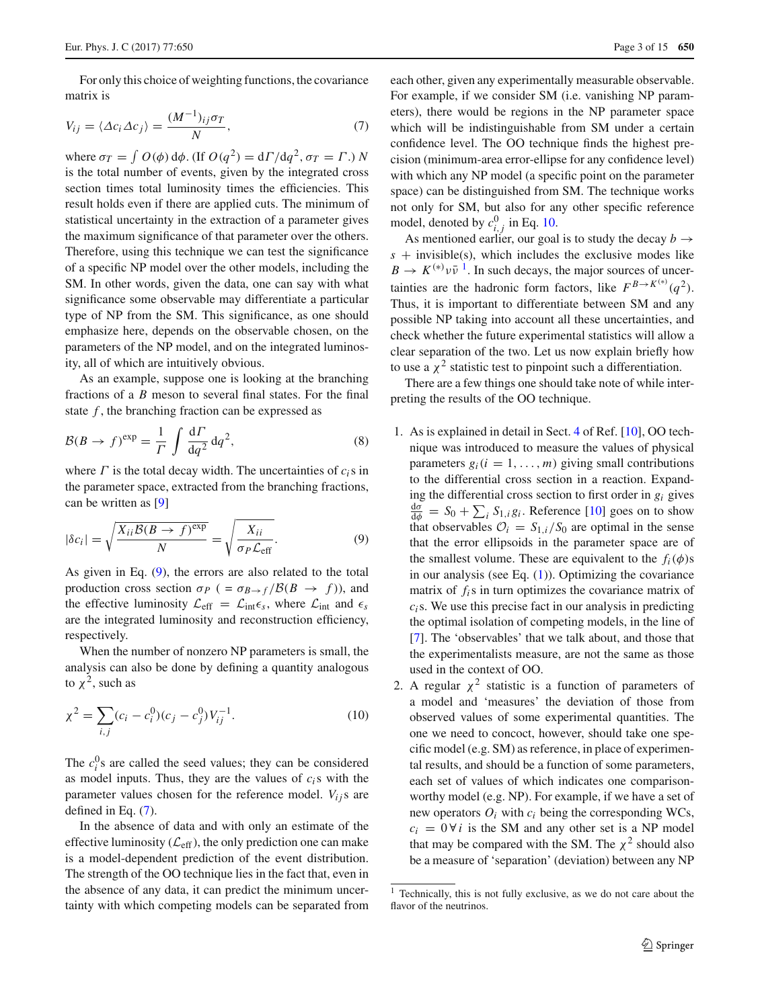For only this choice of weighting functions, the covariance matrix is

<span id="page-2-1"></span>
$$
V_{ij} = \langle \Delta c_i \Delta c_j \rangle = \frac{(M^{-1})_{ij} \sigma_T}{N},\tag{7}
$$

where  $\sigma_T = \int O(\phi) \, d\phi$ . (If  $O(q^2) = d\Gamma/dq^2$ ,  $\sigma_T = \Gamma$ .) *N* is the total number of events, given by the integrated cross section times total luminosity times the efficiencies. This result holds even if there are applied cuts. The minimum of statistical uncertainty in the extraction of a parameter gives the maximum significance of that parameter over the others. Therefore, using this technique we can test the significance of a specific NP model over the other models, including the SM. In other words, given the data, one can say with what significance some observable may differentiate a particular type of NP from the SM. This significance, as one should emphasize here, depends on the observable chosen, on the parameters of the NP model, and on the integrated luminosity, all of which are intuitively obvious.

As an example, suppose one is looking at the branching fractions of a *B* meson to several final states. For the final state  $f$ , the branching fraction can be expressed as

$$
\mathcal{B}(B \to f)^{\exp} = \frac{1}{\Gamma} \int \frac{\mathrm{d}\Gamma}{\mathrm{d}q^2} \,\mathrm{d}q^2,\tag{8}
$$

where  $\Gamma$  is the total decay width. The uncertainties of  $c_i$ s in the parameter space, extracted from the branching fractions, can be written as [\[9](#page-14-7)]

<span id="page-2-0"></span>
$$
|\delta c_i| = \sqrt{\frac{X_{ii}\mathcal{B}(B \to f)^{\exp}}{N}} = \sqrt{\frac{X_{ii}}{\sigma_P \mathcal{L}_{\text{eff}}}}.
$$
 (9)

As given in Eq. [\(9\)](#page-2-0), the errors are also related to the total production cross section  $\sigma_P$  ( =  $\sigma_{B\to f}/\mathcal{B}(B \to f)$ ), and the effective luminosity  $\mathcal{L}_{eff} = \mathcal{L}_{int} \epsilon_s$ , where  $\mathcal{L}_{int}$  and  $\epsilon_s$ are the integrated luminosity and reconstruction efficiency, respectively.

When the number of nonzero NP parameters is small, the analysis can also be done by defining a quantity analogous to  $\chi^2$ , such as

$$
\chi^2 = \sum_{i,j} (c_i - c_i^0)(c_j - c_j^0) V_{ij}^{-1}.
$$
 (10)

The  $c_i^0$ 's are called the seed values; they can be considered as model inputs. Thus, they are the values of *ci*s with the parameter values chosen for the reference model.  $V_{ij}$ s are defined in Eq. [\(7\)](#page-2-1).

In the absence of data and with only an estimate of the effective luminosity ( $\mathcal{L}_{eff}$ ), the only prediction one can make is a model-dependent prediction of the event distribution. The strength of the OO technique lies in the fact that, even in the absence of any data, it can predict the minimum uncertainty with which competing models can be separated from each other, given any experimentally measurable observable. For example, if we consider SM (i.e. vanishing NP parameters), there would be regions in the NP parameter space which will be indistinguishable from SM under a certain confidence level. The OO technique finds the highest precision (minimum-area error-ellipse for any confidence level) with which any NP model (a specific point on the parameter space) can be distinguished from SM. The technique works not only for SM, but also for any other specific reference model, denoted by  $c_{i,j}^0$  in Eq. [10.](#page-2-2)

As mentioned earlier, our goal is to study the decay  $b \rightarrow$  $s +$  invisible(s), which includes the exclusive modes like  $B \to K^{(*)} \nu \bar{\nu}^1$  $B \to K^{(*)} \nu \bar{\nu}^1$ . In such decays, the major sources of uncertainties are the hadronic form factors, like  $F^{B \to K^{(*)}}(q^2)$ . Thus, it is important to differentiate between SM and any possible NP taking into account all these uncertainties, and check whether the future experimental statistics will allow a clear separation of the two. Let us now explain briefly how to use a  $\chi^2$  statistic test to pinpoint such a differentiation.

There are a few things one should take note of while interpreting the results of the OO technique.

- 1. As is explained in detail in Sect. [4](#page-6-0) of Ref. [\[10\]](#page-14-8), OO technique was introduced to measure the values of physical parameters  $g_i$  ( $i = 1, ..., m$ ) giving small contributions to the differential cross section in a reaction. Expanding the differential cross section to first order in *g<sup>i</sup>* gives  $\frac{d\sigma}{d\phi}$  =  $S_0 + \sum_i S_{1,i} g_i$ . Reference [\[10\]](#page-14-8) goes on to show that observables  $\mathcal{O}_i = S_{1,i}/S_0$  are optimal in the sense that the error ellipsoids in the parameter space are of the smallest volume. These are equivalent to the  $f_i(\phi)$ s in our analysis (see Eq.  $(1)$ ). Optimizing the covariance matrix of *fi*s in turn optimizes the covariance matrix of *ci*s. We use this precise fact in our analysis in predicting the optimal isolation of competing models, in the line of [\[7](#page-14-5)]. The 'observables' that we talk about, and those that the experimentalists measure, are not the same as those used in the context of OO.
- <span id="page-2-2"></span>2. A regular  $\chi^2$  statistic is a function of parameters of a model and 'measures' the deviation of those from observed values of some experimental quantities. The one we need to concoct, however, should take one specific model (e.g. SM) as reference, in place of experimental results, and should be a function of some parameters, each set of values of which indicates one comparisonworthy model (e.g. NP). For example, if we have a set of new operators  $O_i$  with  $c_i$  being the corresponding WCs,  $c_i = 0 \forall i$  is the SM and any other set is a NP model that may be compared with the SM. The  $\chi^2$  should also be a measure of 'separation' (deviation) between any NP

<span id="page-2-3"></span> $<sup>1</sup>$  Technically, this is not fully exclusive, as we do not care about the</sup> flavor of the neutrinos.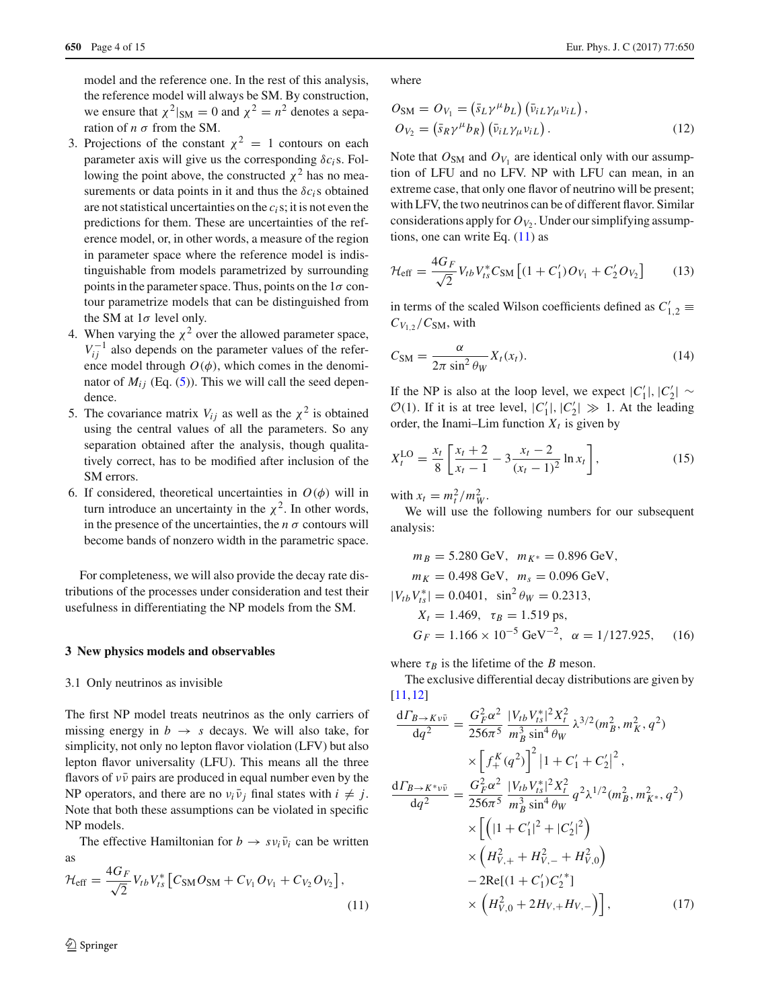model and the reference one. In the rest of this analysis, the reference model will always be SM. By construction, we ensure that  $\chi^2|_{SM} = 0$  and  $\chi^2 = n^2$  denotes a separation of *n* σ from the SM.

- 3. Projections of the constant  $\chi^2 = 1$  contours on each parameter axis will give us the corresponding  $\delta c_i$ s. Following the point above, the constructed  $\chi^2$  has no measurements or data points in it and thus the  $\delta c_i$  s obtained are not statistical uncertainties on the *ci*s; it is not even the predictions for them. These are uncertainties of the reference model, or, in other words, a measure of the region in parameter space where the reference model is indistinguishable from models parametrized by surrounding points in the parameter space. Thus, points on the  $1\sigma$  contour parametrize models that can be distinguished from the SM at  $1\sigma$  level only.
- 4. When varying the  $\chi^2$  over the allowed parameter space,  $V_{ij}^{-1}$  also depends on the parameter values of the reference model through  $O(\phi)$ , which comes in the denominator of  $M_{ij}$  (Eq. [\(5\)](#page-1-1)). This we will call the seed dependence.
- 5. The covariance matrix  $V_{ij}$  as well as the  $\chi^2$  is obtained using the central values of all the parameters. So any separation obtained after the analysis, though qualitatively correct, has to be modified after inclusion of the SM errors.
- 6. If considered, theoretical uncertainties in  $O(\phi)$  will in turn introduce an uncertainty in the  $\chi^2$ . In other words, in the presence of the uncertainties, the  $n \sigma$  contours will become bands of nonzero width in the parametric space.

For completeness, we will also provide the decay rate distributions of the processes under consideration and test their usefulness in differentiating the NP models from the SM.

#### <span id="page-3-0"></span>**3 New physics models and observables**

#### 3.1 Only neutrinos as invisible

The first NP model treats neutrinos as the only carriers of missing energy in  $b \rightarrow s$  decays. We will also take, for simplicity, not only no lepton flavor violation (LFV) but also lepton flavor universality (LFU). This means all the three flavors of  $v\bar{v}$  pairs are produced in equal number even by the NP operators, and there are no  $v_i \overline{v}_i$  final states with  $i \neq j$ . Note that both these assumptions can be violated in specific NP models.

The effective Hamiltonian for  $b \rightarrow s v_i \bar{v}_i$  can be written as

<span id="page-3-1"></span>
$$
\mathcal{H}_{\text{eff}} = \frac{4G_F}{\sqrt{2}} V_{tb} V_{ts}^* \left[ C_{\text{SM}} O_{\text{SM}} + C_{V_1} O_{V_1} + C_{V_2} O_{V_2} \right],\tag{11}
$$

where

$$
O_{\rm SM} = O_{V_1} = (\bar{s}_L \gamma^\mu b_L) (\bar{\nu}_{iL} \gamma_\mu \nu_{iL}),
$$
  
\n
$$
O_{V_2} = (\bar{s}_R \gamma^\mu b_R) (\bar{\nu}_{iL} \gamma_\mu \nu_{iL}).
$$
\n(12)

Note that  $O_{SM}$  and  $O_{V_1}$  are identical only with our assumption of LFU and no LFV. NP with LFU can mean, in an extreme case, that only one flavor of neutrino will be present; with LFV, the two neutrinos can be of different flavor. Similar considerations apply for  $O_{V_2}$ . Under our simplifying assumptions, one can write Eq.  $(11)$  as

$$
\mathcal{H}_{\rm eff} = \frac{4G_F}{\sqrt{2}} V_{tb} V_{ts}^* C_{\rm SM} \left[ (1 + C_1') O_{V_1} + C_2' O_{V_2} \right] \tag{13}
$$

in terms of the scaled Wilson coefficients defined as  $C'_{1,2} \equiv$  $C_{V_{1,2}}/C_{\text{SM}}$ , with

$$
C_{\rm SM} = \frac{\alpha}{2\pi \sin^2 \theta_W} X_t(x_t). \tag{14}
$$

If the NP is also at the loop level, we expect  $|C'_1|, |C'_2| \sim$  $\mathcal{O}(1)$ . If it is at tree level,  $|C'_1|, |C'_2| \gg 1$ . At the leading order, the Inami–Lim function  $X_t$  is given by

$$
X_t^{\text{LO}} = \frac{x_t}{8} \left[ \frac{x_t + 2}{x_t - 1} - 3 \frac{x_t - 2}{(x_t - 1)^2} \ln x_t \right],\tag{15}
$$

with  $x_t = m_t^2 / m_W^2$ .

 $\vert$ <sup>*t*</sup>

We will use the following numbers for our subsequent analysis:

$$
m_B = 5.280 \text{ GeV}, \quad m_{K^*} = 0.896 \text{ GeV},
$$
  
\n
$$
m_K = 0.498 \text{ GeV}, \quad m_s = 0.096 \text{ GeV},
$$
  
\n
$$
V_{tb} V_{ts}^* = 0.0401, \quad \sin^2 \theta_W = 0.2313,
$$
  
\n
$$
X_t = 1.469, \quad \tau_B = 1.519 \text{ ps},
$$
  
\n
$$
G_F = 1.166 \times 10^{-5} \text{ GeV}^{-2}, \quad \alpha = 1/127.925, \quad (16)
$$

where  $\tau_B$  is the lifetime of the *B* meson.

The exclusive differential decay distributions are given by [\[11](#page-14-9),[12\]](#page-14-10)

$$
\frac{dF_{B\to K\nu\bar{\nu}}}{dq^2} = \frac{G_F^2 \alpha^2}{256\pi^5} \frac{|V_{tb}V_{ts}^*|^2 X_t^2}{m_B^3 \sin^4 \theta_W} \lambda^{3/2} (m_B^2, m_K^2, q^2)
$$
  
\n
$$
\times \left[ f_+^K (q^2) \right]^2 |1 + C_1' + C_2'|^2,
$$
  
\n
$$
\frac{dF_{B\to K^*\nu\bar{\nu}}}{dq^2} = \frac{G_F^2 \alpha^2}{256\pi^5} \frac{|V_{tb}V_{ts}^*|^2 X_t^2}{m_B^3 \sin^4 \theta_W} q^2 \lambda^{1/2} (m_B^2, m_{K^*}^2, q^2)
$$
  
\n
$$
\times \left[ (|1 + C_1'|^2 + |C_2'|^2) \right]
$$
  
\n
$$
\times \left( H_{V,+}^2 + H_{V,-}^2 + H_{V,0}^2 \right)
$$
  
\n
$$
- 2\text{Re}[(1 + C_1')C_2'^*]
$$
  
\n
$$
\times \left( H_{V,0}^2 + 2H_{V,+}H_{V,-} \right) , \tag{17}
$$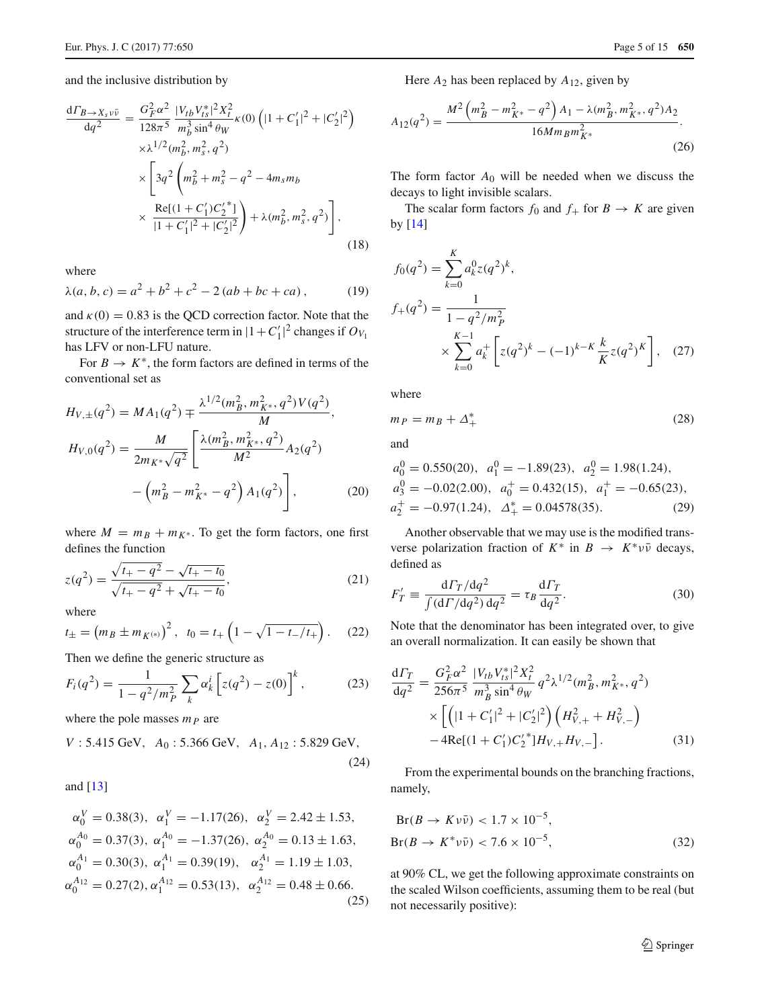and the inclusive distribution by

$$
\frac{d\Gamma_{B\to X_s\nu\bar{\nu}}}{dq^2} = \frac{G_F^2 \alpha^2}{128\pi^5} \frac{|V_{tb}V_{ts}^*|^2 X_t^2}{m_b^3 \sin^4 \theta_W} \kappa(0) \left( |1 + C_1'|^2 + |C_2'|^2 \right)
$$
  

$$
\times \lambda^{1/2} (m_b^2, m_s^2, q^2)
$$
  

$$
\times \left[ 3q^2 \left( m_b^2 + m_s^2 - q^2 - 4m_s m_b \right) \right.
$$
  

$$
\times \frac{\text{Re}[(1 + C_1')C_2'^*]}{|1 + C_1'|^2 + |C_2'|^2} + \lambda (m_b^2, m_s^2, q^2) \right],
$$
(18)

where

$$
\lambda(a, b, c) = a^2 + b^2 + c^2 - 2(ab + bc + ca),
$$
 (19)

and  $\kappa(0) = 0.83$  is the QCD correction factor. Note that the structure of the interference term in  $|1+C'_1|^2$  changes if  $O_{V_1}$ has LFV or non-LFU nature.

For  $B \to K^*$ , the form factors are defined in terms of the conventional set as

$$
H_{V,\pm}(q^2) = MA_1(q^2) \mp \frac{\lambda^{1/2}(m_B^2, m_{K^*}^2, q^2)V(q^2)}{M},
$$
  
\n
$$
H_{V,0}(q^2) = \frac{M}{2m_{K^*}\sqrt{q^2}} \left[ \frac{\lambda(m_B^2, m_{K^*}^2, q^2)}{M^2} A_2(q^2) - \left(m_B^2 - m_{K^*}^2 - q^2\right) A_1(q^2) \right],
$$
\n(20)

where  $M = m_B + m_{K^*}$ . To get the form factors, one first defines the function

$$
z(q^2) = \frac{\sqrt{t_+ - q^2} - \sqrt{t_+ - t_0}}{\sqrt{t_+ - q^2} + \sqrt{t_+ - t_0}},\tag{21}
$$

where

$$
t_{\pm} = (m_B \pm m_{K^{(*)}})^2
$$
,  $t_0 = t_+ (1 - \sqrt{1 - t_-/t_+})$ . (22)

Then we define the generic structure as

<span id="page-4-1"></span>
$$
F_i(q^2) = \frac{1}{1 - q^2/m_P^2} \sum_k \alpha_k^i \left[ z(q^2) - z(0) \right]^k, \tag{23}
$$

where the pole masses *m<sup>P</sup>* are

$$
V: 5.415 \text{ GeV}, A_0: 5.366 \text{ GeV}, A_1, A_{12}: 5.829 \text{ GeV},
$$
\n(24)

and [\[13](#page-14-11)]

$$
\alpha_0^V = 0.38(3), \quad \alpha_1^V = -1.17(26), \quad \alpha_2^V = 2.42 \pm 1.53,
$$
  
\n
$$
\alpha_0^{A_0} = 0.37(3), \quad \alpha_1^{A_0} = -1.37(26), \quad \alpha_2^{A_0} = 0.13 \pm 1.63,
$$
  
\n
$$
\alpha_0^{A_1} = 0.30(3), \quad \alpha_1^{A_1} = 0.39(19), \quad \alpha_2^{A_1} = 1.19 \pm 1.03,
$$
  
\n
$$
\alpha_0^{A_{12}} = 0.27(2), \quad \alpha_1^{A_{12}} = 0.53(13), \quad \alpha_2^{A_{12}} = 0.48 \pm 0.66.
$$
  
\n(25)

Here  $A_2$  has been replaced by  $A_{12}$ , given by

$$
A_{12}(q^2) = \frac{M^2 \left(m_B^2 - m_{K^*}^2 - q^2\right) A_1 - \lambda (m_B^2, m_{K^*}^2, q^2) A_2}{16 M m_B m_{K^*}^2}.
$$
\n(26)

The form factor  $A_0$  will be needed when we discuss the decays to light invisible scalars.

The scalar form factors  $f_0$  and  $f_+$  for  $B \to K$  are given by  $[14]$ 

$$
f_0(q^2) = \sum_{k=0}^{K} a_k^0 z(q^2)^k,
$$
  
\n
$$
f_+(q^2) = \frac{1}{1 - q^2 / m_P^2}
$$
  
\n
$$
\times \sum_{k=0}^{K-1} a_k^+ \left[ z(q^2)^k - (-1)^{k-K} \frac{k}{K} z(q^2)^K \right], \quad (27)
$$

<span id="page-4-0"></span>where

$$
m_P = m_B + \Delta_+^*
$$
\n<sup>(28)</sup>

and

$$
a_0^0 = 0.550(20), \ a_1^0 = -1.89(23), \ a_2^0 = 1.98(1.24),
$$
  
\n $a_3^0 = -0.02(2.00), \ a_0^+ = 0.432(15), \ a_1^+ = -0.65(23),$   
\n $a_2^+ = -0.97(1.24), \ \Delta_+^* = 0.04578(35).$  (29)

Another observable that we may use is the modified transverse polarization fraction of  $K^*$  in  $B \to K^* \nu \bar{\nu}$  decays, defined as

$$
F'_T \equiv \frac{\mathrm{d}\Gamma_T/\mathrm{d}q^2}{\int (\mathrm{d}\Gamma/\mathrm{d}q^2)\,\mathrm{d}q^2} = \tau_B \frac{\mathrm{d}\Gamma_T}{\mathrm{d}q^2}.\tag{30}
$$

Note that the denominator has been integrated over, to give an overall normalization. It can easily be shown that

$$
\frac{d\Gamma_T}{dq^2} = \frac{G_F^2 \alpha^2}{256\pi^5} \frac{|V_{tb} V_{ts}^*|^2 X_t^2}{m_B^3 \sin^4 \theta_W} q^2 \lambda^{1/2} (m_B^2, m_{K^*}^2, q^2) \times \left[ \left( |1 + C_1'|^2 + |C_2'|^2 \right) \left( H_{V,+}^2 + H_{V,-}^2 \right) - 4 \text{Re}[(1 + C_1') C_2'^*] H_{V,+} H_{V,-} \right].
$$
\n(31)

From the experimental bounds on the branching fractions, namely,

$$
Br(B \to K \nu \bar{\nu}) < 1.7 \times 10^{-5},
$$
\n
$$
Br(B \to K^* \nu \bar{\nu}) < 7.6 \times 10^{-5}, \tag{32}
$$

at 90% CL, we get the following approximate constraints on the scaled Wilson coefficients, assuming them to be real (but not necessarily positive):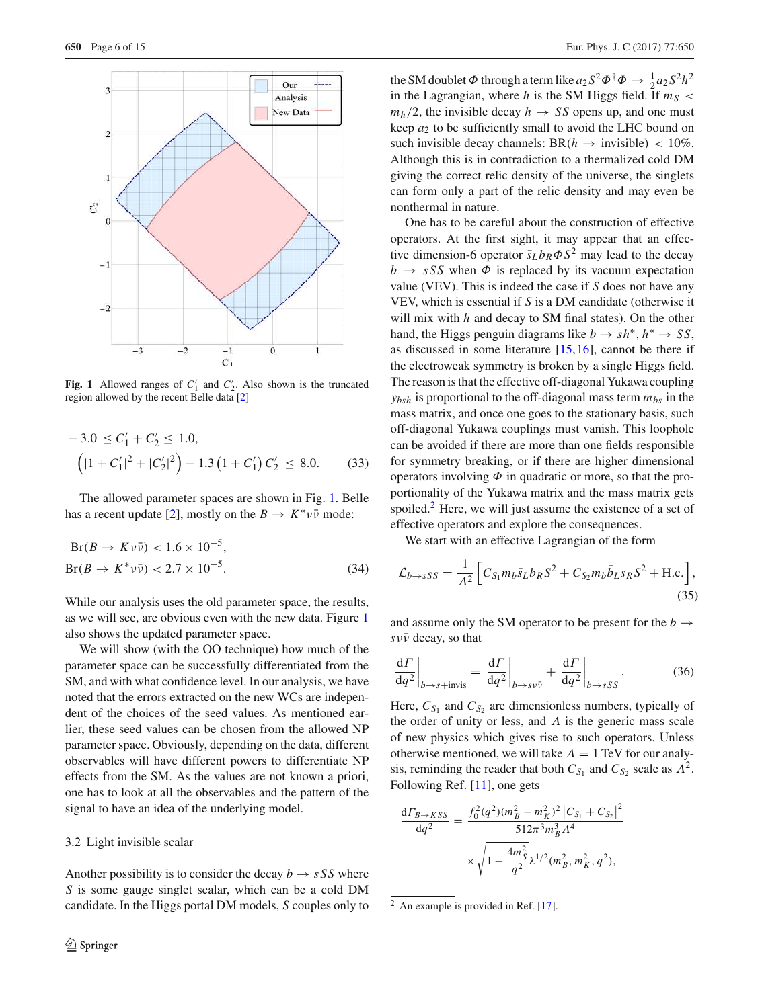

<span id="page-5-0"></span>**Fig. 1** Allowed ranges of  $C'_1$  and  $C'_2$ . Also shown is the truncated region allowed by the recent Belle data [\[2](#page-14-1)]

$$
-3.0 \le C'_1 + C'_2 \le 1.0,
$$
  

$$
\left( |1 + C'_1|^2 + |C'_2|^2 \right) - 1.3 \left( 1 + C'_1 \right) C'_2 \le 8.0.
$$
 (33)

The allowed parameter spaces are shown in Fig. [1.](#page-5-0) Belle has a recent update [\[2\]](#page-14-1), mostly on the  $B \to K^* \nu \bar{\nu}$  mode:

$$
Br(B \to K \nu \bar{\nu}) < 1.6 \times 10^{-5},
$$
\n
$$
Br(B \to K^* \nu \bar{\nu}) < 2.7 \times 10^{-5}.\tag{34}
$$

While our analysis uses the old parameter space, the results, as we will see, are obvious even with the new data. Figure [1](#page-5-0) also shows the updated parameter space.

We will show (with the OO technique) how much of the parameter space can be successfully differentiated from the SM, and with what confidence level. In our analysis, we have noted that the errors extracted on the new WCs are independent of the choices of the seed values. As mentioned earlier, these seed values can be chosen from the allowed NP parameter space. Obviously, depending on the data, different observables will have different powers to differentiate NP effects from the SM. As the values are not known a priori, one has to look at all the observables and the pattern of the signal to have an idea of the underlying model.

#### 3.2 Light invisible scalar

Another possibility is to consider the decay  $b \rightarrow sSS$  where *S* is some gauge singlet scalar, which can be a cold DM candidate. In the Higgs portal DM models, *S* couples only to

the SM doublet  $\Phi$  through a term like  $a_2 S^2 \Phi^{\dagger} \Phi \to \frac{1}{2} a_2 S^2 h^2$ in the Lagrangian, where *h* is the SM Higgs field. If  $m<sub>S</sub>$  $m_h/2$ , the invisible decay  $h \rightarrow SS$  opens up, and one must keep  $a_2$  to be sufficiently small to avoid the LHC bound on such invisible decay channels:  $BR(h \rightarrow$  invisible) < 10%. Although this is in contradiction to a thermalized cold DM giving the correct relic density of the universe, the singlets can form only a part of the relic density and may even be nonthermal in nature.

One has to be careful about the construction of effective operators. At the first sight, it may appear that an effective dimension-6 operator  $\bar{s}_L b_R \Phi S^2$  may lead to the decay  $b \rightarrow sSS$  when  $\Phi$  is replaced by its vacuum expectation value (VEV). This is indeed the case if *S* does not have any VEV, which is essential if *S* is a DM candidate (otherwise it will mix with *h* and decay to SM final states). On the other hand, the Higgs penguin diagrams like  $b \to sh^*, h^* \to SS$ , as discussed in some literature [\[15](#page-14-13)[,16](#page-14-14)], cannot be there if the electroweak symmetry is broken by a single Higgs field. The reason is that the effective off-diagonal Yukawa coupling  $y_{bsh}$  is proportional to the off-diagonal mass term  $m_{bs}$  in the mass matrix, and once one goes to the stationary basis, such off-diagonal Yukawa couplings must vanish. This loophole can be avoided if there are more than one fields responsible for symmetry breaking, or if there are higher dimensional operators involving  $\Phi$  in quadratic or more, so that the proportionality of the Yukawa matrix and the mass matrix gets spoiled. $<sup>2</sup>$  $<sup>2</sup>$  $<sup>2</sup>$  Here, we will just assume the existence of a set of</sup> effective operators and explore the consequences.

We start with an effective Lagrangian of the form

$$
\mathcal{L}_{b \to sSS} = \frac{1}{\Lambda^2} \left[ C_{S_1} m_b \bar{s}_L b_R S^2 + C_{S_2} m_b \bar{b}_L s_R S^2 + \text{H.c.} \right],\tag{35}
$$

and assume only the SM operator to be present for the  $b \rightarrow$ *s*νν¯ decay, so that

$$
\left. \frac{\mathrm{d}\varGamma}{\mathrm{d}q^2} \right|_{b \to s + \text{invis}} = \left. \frac{\mathrm{d}\varGamma}{\mathrm{d}q^2} \right|_{b \to s v \bar{v}} + \left. \frac{\mathrm{d}\varGamma}{\mathrm{d}q^2} \right|_{b \to s S S} . \tag{36}
$$

Here,  $C_{S_1}$  and  $C_{S_2}$  are dimensionless numbers, typically of the order of unity or less, and  $\Lambda$  is the generic mass scale of new physics which gives rise to such operators. Unless otherwise mentioned, we will take  $\Lambda = 1$  TeV for our analysis, reminding the reader that both  $C_{S_1}$  and  $C_{S_2}$  scale as  $\Lambda^2$ . Following Ref. [\[11\]](#page-14-9), one gets

$$
\frac{\mathrm{d}\Gamma_{B\to KSS}}{\mathrm{d}q^2} = \frac{f_0^2(q^2)(m_B^2 - m_K^2)^2 \left| C_{S_1} + C_{S_2} \right|^2}{512\pi^3 m_B^3 \Lambda^4} \times \sqrt{1 - \frac{4m_S^2}{q^2} \lambda^{1/2} (m_B^2, m_K^2, q^2)},
$$

<span id="page-5-1"></span><sup>&</sup>lt;sup>2</sup> An example is provided in Ref. [\[17\]](#page-14-15).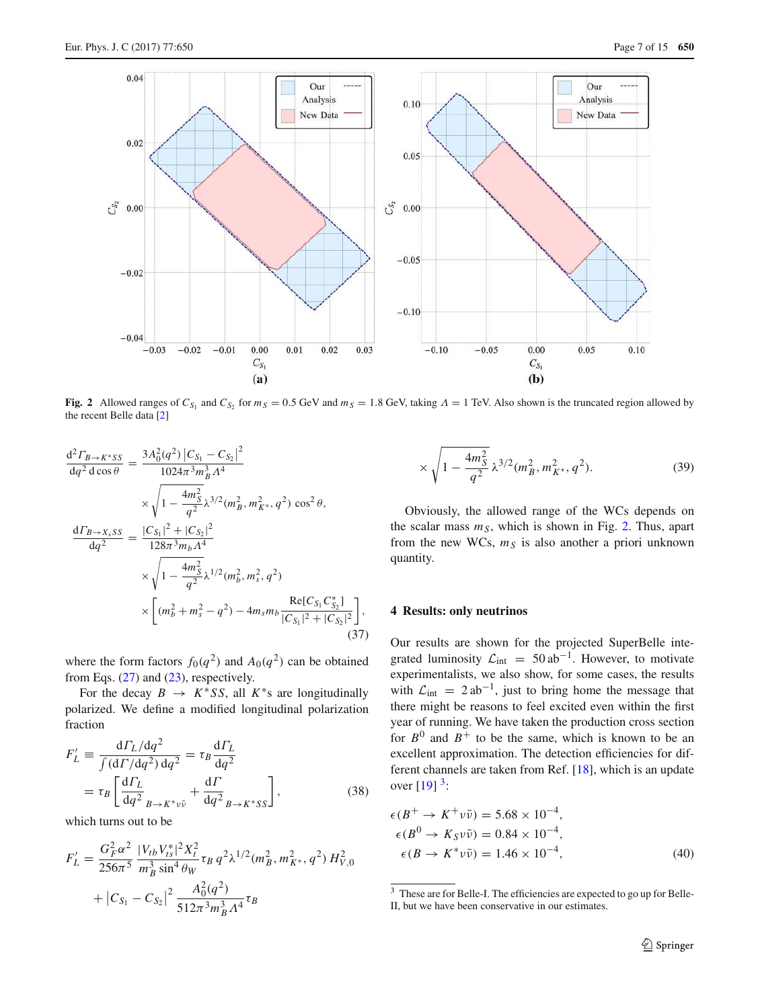

<span id="page-6-1"></span>**Fig. 2** Allowed ranges of  $C_{S_1}$  and  $C_{S_2}$  for  $m_S = 0.5$  GeV and  $m_S = 1.8$  GeV, taking  $\Lambda = 1$  TeV. Also shown is the truncated region allowed by the recent Belle data [\[2\]](#page-14-1)

,

$$
\frac{d^2 \Gamma_{B \to K^*SS}}{dq^2 d \cos \theta} = \frac{3A_0^2 (q^2) |C_{S_1} - C_{S_2}|^2}{1024\pi^3 m_B^3 \Lambda^4}
$$

$$
\times \sqrt{1 - \frac{4m_S^2}{q^2} \lambda^{3/2} (m_B^2, m_{K^*}^2, q^2) \cos^2 \theta},
$$

$$
\frac{d\Gamma_{B \to X_sSS}}{dq^2} = \frac{|C_{S_1}|^2 + |C_{S_2}|^2}{128\pi^3 m_b \Lambda^4}
$$

$$
\times \sqrt{1 - \frac{4m_S^2}{q^2} \lambda^{1/2} (m_b^2, m_s^2, q^2)}
$$

$$
\times \left[ (m_b^2 + m_s^2 - q^2) - 4m_s m_b \frac{\text{Re}[C_{S_1} C_{S_2}^*]}{|C_{S_1}|^2 + |C_{S_2}|^2} \right],
$$
(37)

where the form factors  $f_0(q^2)$  and  $A_0(q^2)$  can be obtained from Eqs.  $(27)$  and  $(23)$ , respectively.

For the decay  $B \to K^* S S$ , all  $K^* s$  are longitudinally polarized. We define a modified longitudinal polarization fraction

<span id="page-6-3"></span>
$$
F'_{L} \equiv \frac{d\Gamma_{L}/dq^{2}}{\int (d\Gamma/dq^{2}) dq^{2}} = \tau_{B} \frac{d\Gamma_{L}}{dq^{2}}
$$
  
=  $\tau_{B} \left[ \frac{d\Gamma_{L}}{dq^{2}} \right]_{B \to K^{*} \nu \bar{\nu}} + \frac{d\Gamma}{dq^{2}} \left. \right|_{B \to K^{*} SS} \right],$  (38)

which turns out to be

$$
F'_{L} = \frac{G_F^2 \alpha^2}{256\pi^5} \frac{|V_{tb} V_{ts}^*|^2 X_t^2}{m_B^3 \sin^4 \theta_W} \tau_B q^2 \lambda^{1/2} (m_B^2, m_{K^*}^2, q^2) H_{V,0}^2
$$
  
+  $|C_{S_1} - C_{S_2}|^2 \frac{A_0^2 (q^2)}{512\pi^3 m_B^3 \Lambda^4} \tau_B$ 

$$
\times \sqrt{1 - \frac{4m_S^2}{q^2}} \,\lambda^{3/2} (m_B^2, m_{K^*}^2, q^2). \tag{39}
$$

Obviously, the allowed range of the WCs depends on the scalar mass *mS*, which is shown in Fig. [2.](#page-6-1) Thus, apart from the new WCs,  $m<sub>S</sub>$  is also another a priori unknown quantity.

#### <span id="page-6-0"></span>**4 Results: only neutrinos**

Our results are shown for the projected SuperBelle integrated luminosity  $\mathcal{L}_{int} = 50 \text{ ab}^{-1}$ . However, to motivate experimentalists, we also show, for some cases, the results with  $\mathcal{L}_{\text{int}} = 2ab^{-1}$ , just to bring home the message that there might be reasons to feel excited even within the first year of running. We have taken the production cross section for  $B^0$  and  $B^+$  to be the same, which is known to be an excellent approximation. The detection efficiencies for different channels are taken from Ref. [\[18\]](#page-14-16), which is an update over  $[19]$ <sup>[3](#page-6-2)</sup>:

$$
\epsilon(B^+ \to K^+ \nu \bar{\nu}) = 5.68 \times 10^{-4}, \n\epsilon(B^0 \to K_S \nu \bar{\nu}) = 0.84 \times 10^{-4}, \n\epsilon(B \to K^* \nu \bar{\nu}) = 1.46 \times 10^{-4},
$$
\n(40)

<span id="page-6-2"></span><sup>&</sup>lt;sup>3</sup> These are for Belle-I. The efficiencies are expected to go up for Belle-II, but we have been conservative in our estimates.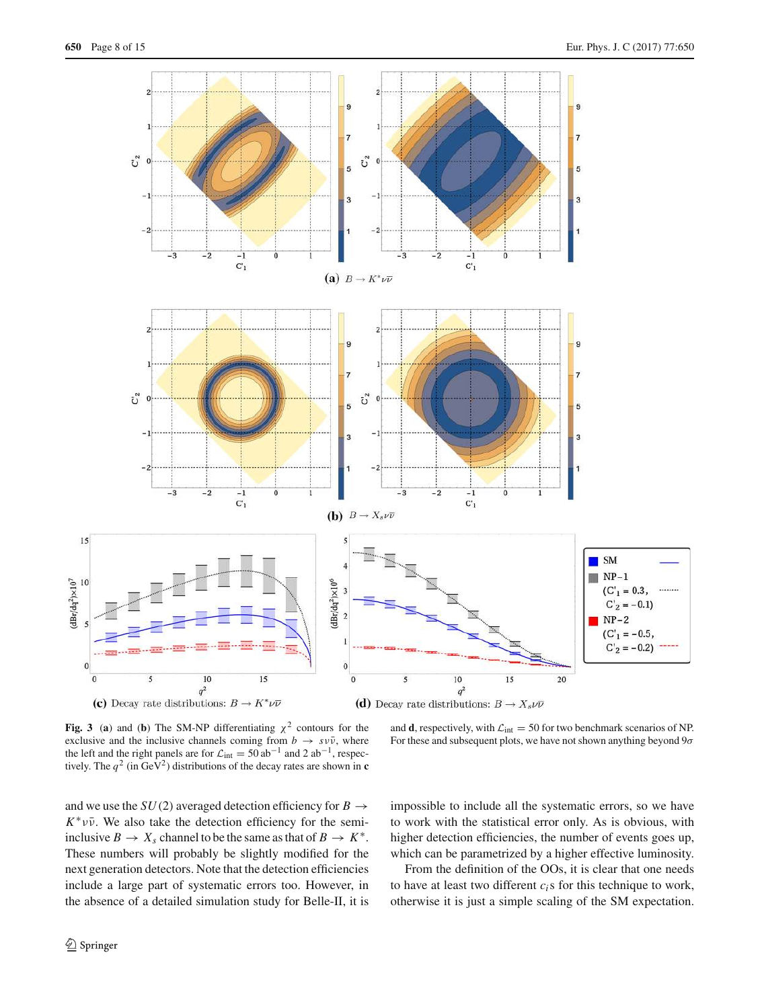

<span id="page-7-0"></span>**Fig. 3** (a) and (b) The SM-NP differentiating  $\chi^2$  contours for the exclusive and the inclusive channels coming from  $b \rightarrow s \nu \bar{\nu}$ , where the left and the right panels are for  $\mathcal{L}_{int} = 50$  ab<sup>-1</sup> and 2 ab<sup>-1</sup>, respectively. The  $q^2$  (in GeV<sup>2</sup>) distributions of the decay rates are shown in **c** 

and **d**, respectively, with  $\mathcal{L}_{int} = 50$  for two benchmark scenarios of NP. For these and subsequent plots, we have not shown anything beyond  $9\sigma$ 

and we use the  $SU(2)$  averaged detection efficiency for  $B \rightarrow$  $K^* \nu \bar{\nu}$ . We also take the detection efficiency for the semiinclusive  $B \to X_s$  channel to be the same as that of  $B \to K^*$ . These numbers will probably be slightly modified for the next generation detectors. Note that the detection efficiencies include a large part of systematic errors too. However, in the absence of a detailed simulation study for Belle-II, it is impossible to include all the systematic errors, so we have to work with the statistical error only. As is obvious, with higher detection efficiencies, the number of events goes up, which can be parametrized by a higher effective luminosity.

From the definition of the OOs, it is clear that one needs to have at least two different  $c_i$ s for this technique to work, otherwise it is just a simple scaling of the SM expectation.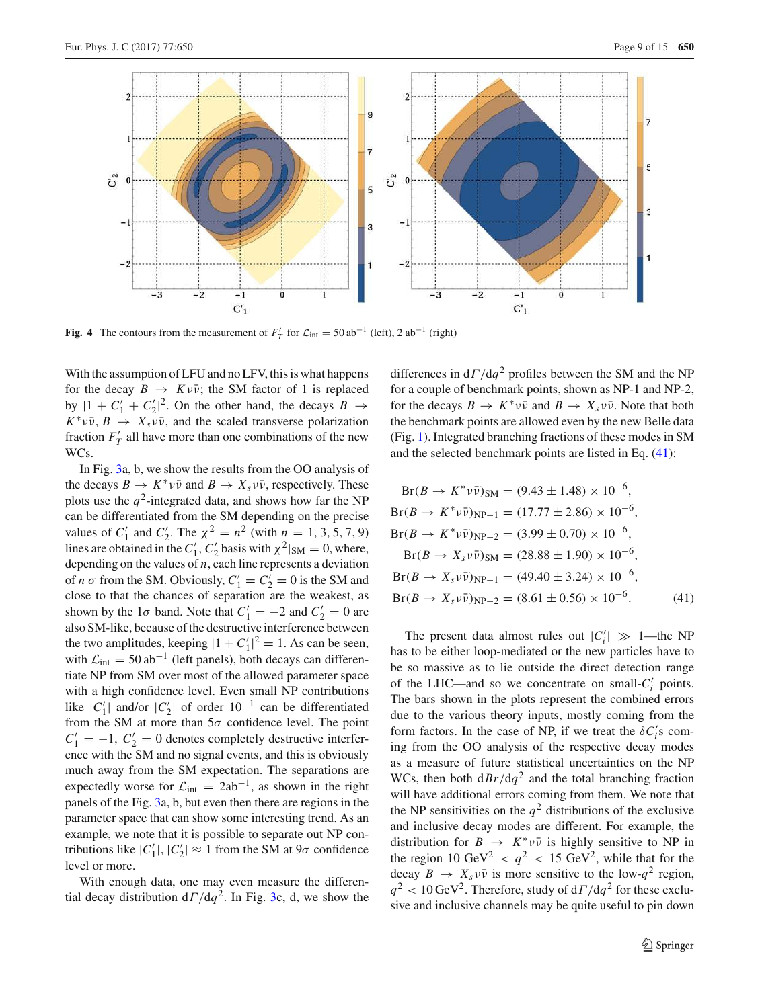

<span id="page-8-1"></span>**Fig. 4** The contours from the measurement of  $F'_T$  for  $\mathcal{L}_{int} = 50$  ab<sup>-1</sup> (left), 2 ab<sup>-1</sup> (right)

With the assumption of LFU and no LFV, this is what happens for the decay  $B \to K \nu \bar{\nu}$ ; the SM factor of 1 is replaced by  $|1 + C'_1 + C'_2|^2$ . On the other hand, the decays  $B \rightarrow$  $K^* \nu \bar{\nu}$ ,  $B \to X_s \nu \bar{\nu}$ , and the scaled transverse polarization fraction  $F'_T$  all have more than one combinations of the new WCs.

In Fig. [3a](#page-7-0), b, we show the results from the OO analysis of the decays  $B \to K^* \nu \bar{\nu}$  and  $B \to X_s \nu \bar{\nu}$ , respectively. These plots use the  $q^2$ -integrated data, and shows how far the NP can be differentiated from the SM depending on the precise values of  $C'_1$  and  $C'_2$ . The  $\chi^2 = n^2$  (with  $n = 1, 3, 5, 7, 9$ ) lines are obtained in the  $C'_1$ ,  $C'_2$  basis with  $\chi^2|_{SM} = 0$ , where, depending on the values of *n*, each line represents a deviation of *n*  $\sigma$  from the SM. Obviously,  $C'_1 = C'_2 = 0$  is the SM and close to that the chances of separation are the weakest, as shown by the 1 $\sigma$  band. Note that  $C'_1 = -2$  and  $C'_2 = 0$  are also SM-like, because of the destructive interference between the two amplitudes, keeping  $|1 + C'_1|^2 = 1$ . As can be seen, with  $\mathcal{L}_{int} = 50 \text{ ab}^{-1}$  (left panels), both decays can differentiate NP from SM over most of the allowed parameter space with a high confidence level. Even small NP contributions like  $|C'_1|$  and/or  $|C'_2|$  of order  $10^{-1}$  can be differentiated from the SM at more than  $5\sigma$  confidence level. The point  $C'_1 = -1$ ,  $C'_2 = 0$  denotes completely destructive interference with the SM and no signal events, and this is obviously much away from the SM expectation. The separations are expectedly worse for  $\mathcal{L}_{int} = 2ab^{-1}$ , as shown in the right panels of the Fig. [3a](#page-7-0), b, but even then there are regions in the parameter space that can show some interesting trend. As an example, we note that it is possible to separate out NP contributions like  $|C'_1|, |C'_2| \approx 1$  from the SM at  $9\sigma$  confidence level or more.

With enough data, one may even measure the differential decay distribution  $d\Gamma/dq^2$ . In Fig. [3c](#page-7-0), d, we show the

differences in  $d\Gamma/dq^2$  profiles between the SM and the NP for a couple of benchmark points, shown as NP-1 and NP-2, for the decays  $B \to K^* \nu \bar{\nu}$  and  $B \to X_s \nu \bar{\nu}$ . Note that both the benchmark points are allowed even by the new Belle data (Fig. [1\)](#page-5-0). Integrated branching fractions of these modes in SM and the selected benchmark points are listed in Eq. [\(41\)](#page-8-0):

$$
Br(B \to K^* \nu \bar{\nu})_{SM} = (9.43 \pm 1.48) \times 10^{-6},
$$
  
\n
$$
Br(B \to K^* \nu \bar{\nu})_{NP-1} = (17.77 \pm 2.86) \times 10^{-6},
$$
  
\n
$$
Br(B \to K^* \nu \bar{\nu})_{NP-2} = (3.99 \pm 0.70) \times 10^{-6},
$$
  
\n
$$
Br(B \to X_s \nu \bar{\nu})_{SM} = (28.88 \pm 1.90) \times 10^{-6},
$$
  
\n
$$
Br(B \to X_s \nu \bar{\nu})_{NP-1} = (49.40 \pm 3.24) \times 10^{-6},
$$
  
\n
$$
Br(B \to X_s \nu \bar{\nu})_{NP-2} = (8.61 \pm 0.56) \times 10^{-6}.
$$
 (41)

<span id="page-8-0"></span>The present data almost rules out  $|C'_i| \gg 1$ —the NP has to be either loop-mediated or the new particles have to be so massive as to lie outside the direct detection range of the LHC—and so we concentrate on small- $C_i'$  points. The bars shown in the plots represent the combined errors due to the various theory inputs, mostly coming from the form factors. In the case of NP, if we treat the  $\delta C_i$ 's coming from the OO analysis of the respective decay modes as a measure of future statistical uncertainties on the NP WCs, then both  $dBr/dq^2$  and the total branching fraction will have additional errors coming from them. We note that the NP sensitivities on the  $q^2$  distributions of the exclusive and inclusive decay modes are different. For example, the distribution for  $B \rightarrow K^* \nu \bar{\nu}$  is highly sensitive to NP in the region 10 GeV<sup>2</sup>  $\langle q^2 \rangle$  < 15 GeV<sup>2</sup>, while that for the decay  $B \to X_s \nu \bar{\nu}$  is more sensitive to the low- $q^2$  region,  $q^2$  < 10 GeV<sup>2</sup>. Therefore, study of  $d\Gamma/dq^2$  for these exclusive and inclusive channels may be quite useful to pin down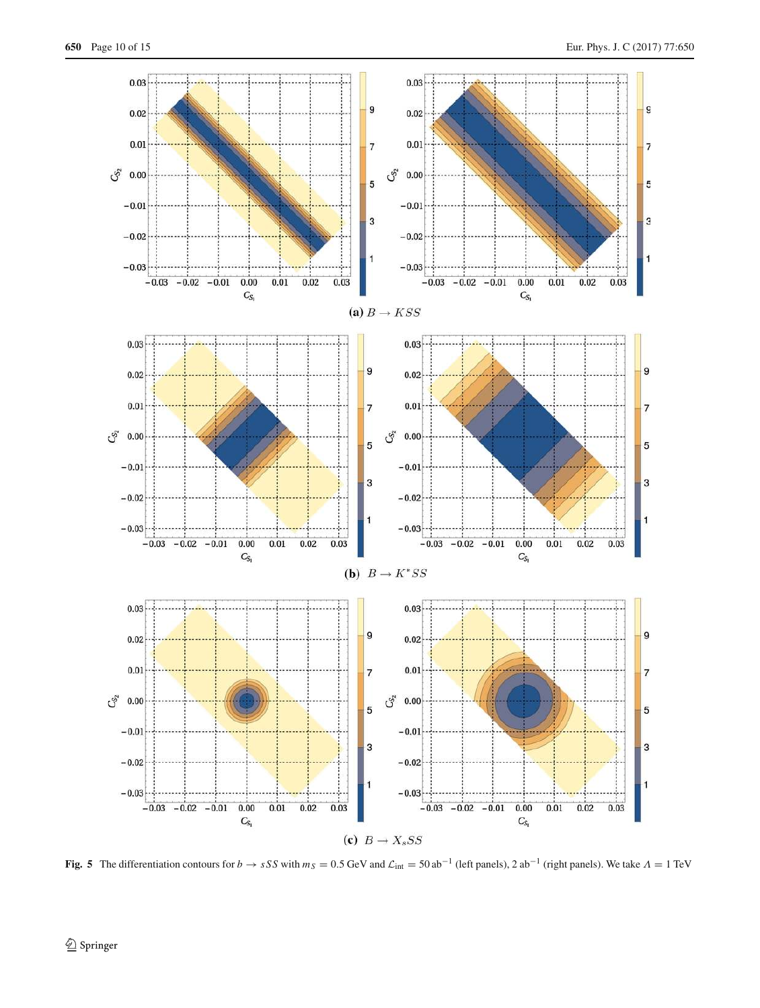

<span id="page-9-0"></span>**Fig. 5** The differentiation contours for *b* → *sSS* with  $m_S = 0.5$  GeV and  $\mathcal{L}_{int} = 50$  ab<sup>-1</sup> (left panels), 2 ab<sup>-1</sup> (right panels). We take  $\Lambda = 1$  TeV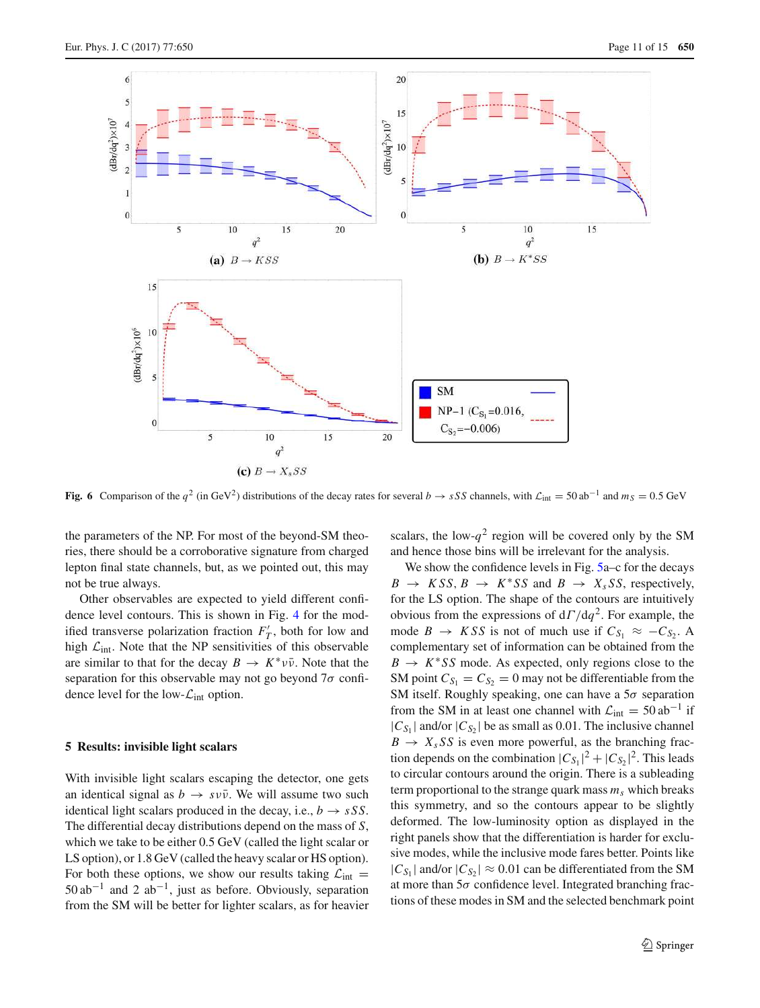

<span id="page-10-1"></span>**Fig. 6** Comparison of the  $q^2$  (in GeV<sup>2</sup>) distributions of the decay rates for several  $b \rightarrow sSS$  channels, with  $\mathcal{L}_{int} = 50$  ab<sup>-1</sup> and  $m_S = 0.5$  GeV

the parameters of the NP. For most of the beyond-SM theories, there should be a corroborative signature from charged lepton final state channels, but, as we pointed out, this may not be true always.

Other observables are expected to yield different confidence level contours. This is shown in Fig. [4](#page-8-1) for the modified transverse polarization fraction  $F'_T$ , both for low and high  $\mathcal{L}_{int}$ . Note that the NP sensitivities of this observable are similar to that for the decay  $B \to K^* \nu \bar{\nu}$ . Note that the separation for this observable may not go beyond  $7\sigma$  confidence level for the low- $\mathcal{L}_{int}$  option.

#### <span id="page-10-0"></span>**5 Results: invisible light scalars**

With invisible light scalars escaping the detector, one gets an identical signal as  $b \rightarrow s \nu \bar{\nu}$ . We will assume two such identical light scalars produced in the decay, i.e.,  $b \rightarrow sSS$ . The differential decay distributions depend on the mass of *S*, which we take to be either 0.5 GeV (called the light scalar or LS option), or 1.8 GeV (called the heavy scalar or HS option). For both these options, we show our results taking  $\mathcal{L}_{int}$  =  $50$  ab<sup>-1</sup> and 2 ab<sup>-1</sup>, just as before. Obviously, separation from the SM will be better for lighter scalars, as for heavier

scalars, the low- $q^2$  region will be covered only by the SM and hence those bins will be irrelevant for the analysis.

We show the confidence levels in Fig. [5a](#page-9-0)–c for the decays  $B \rightarrow KSS, B \rightarrow K^*SS \text{ and } B \rightarrow X_sSS, \text{ respectively,}$ for the LS option. The shape of the contours are intuitively obvious from the expressions of  $d\Gamma/dq^2$ . For example, the mode *B*  $\rightarrow$  *KSS* is not of much use if  $C_{S_1} \approx -C_{S_2}$ . A complementary set of information can be obtained from the  $B \to K^* S S$  mode. As expected, only regions close to the SM point  $C_{S_1} = C_{S_2} = 0$  may not be differentiable from the SM itself. Roughly speaking, one can have a  $5\sigma$  separation from the SM in at least one channel with  $\mathcal{L}_{int} = 50 \text{ ab}^{-1}$  if  $|C_{S_1}|$  and/or  $|C_{S_2}|$  be as small as 0.01. The inclusive channel  $B \rightarrow X_s S S$  is even more powerful, as the branching fraction depends on the combination  $|C_{S_1}|^2 + |C_{S_2}|^2$ . This leads to circular contours around the origin. There is a subleading term proportional to the strange quark mass  $m<sub>s</sub>$  which breaks this symmetry, and so the contours appear to be slightly deformed. The low-luminosity option as displayed in the right panels show that the differentiation is harder for exclusive modes, while the inclusive mode fares better. Points like  $|C_{S_1}|$  and/or  $|C_{S_2}| \approx 0.01$  can be differentiated from the SM at more than  $5\sigma$  confidence level. Integrated branching fractions of these modes in SM and the selected benchmark point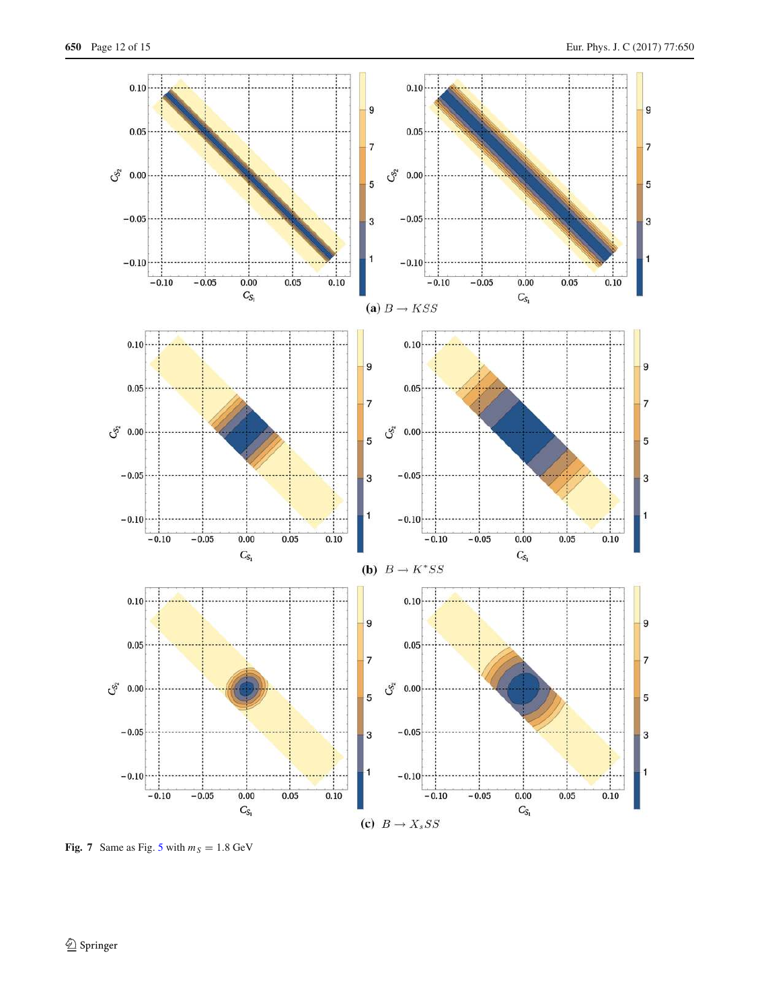

<span id="page-11-0"></span>**Fig. 7** Same as Fig. [5](#page-9-0) with  $m_S = 1.8$  GeV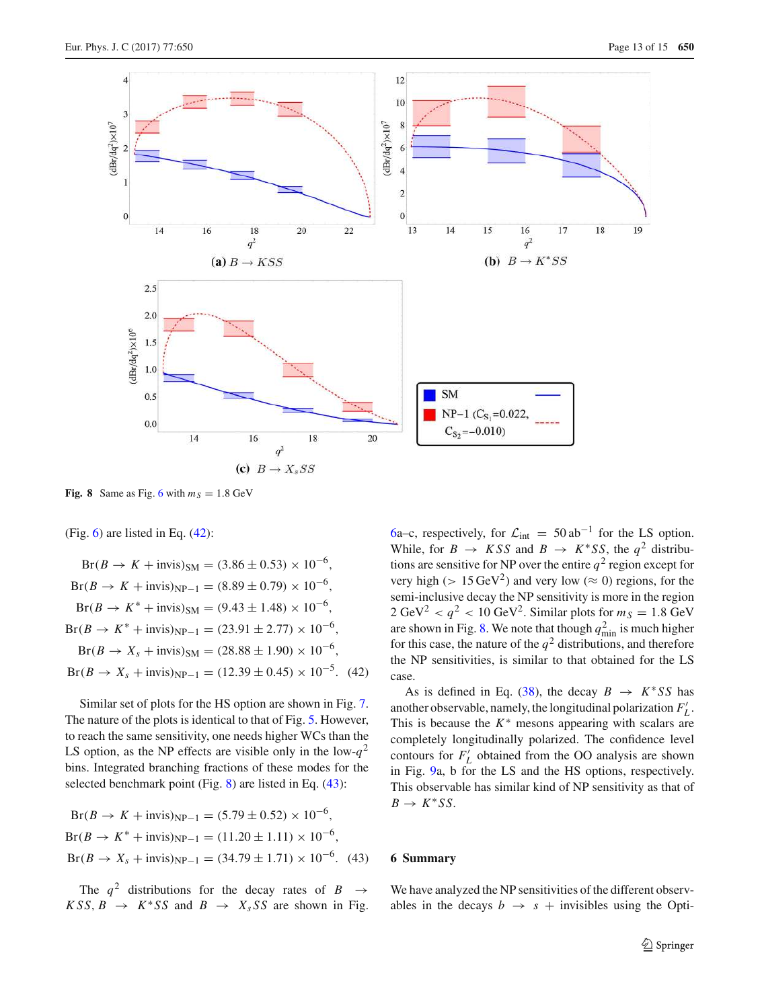

<span id="page-12-2"></span>**Fig. 8** Same as Fig. [6](#page-10-1) with  $m<sub>S</sub> = 1.8$  GeV

(Fig.  $6$ ) are listed in Eq.  $(42)$ :

 $Br(B \to K + invis)_{SM} = (3.86 \pm 0.53) \times 10^{-6}$ ,  $Br(B \to K + invis)_{NP-1} = (8.89 \pm 0.79) \times 10^{-6}$ ,  $Br(B \to K^* + invis)_{SM} = (9.43 \pm 1.48) \times 10^{-6}$ ,  $Br(B \to K^* + invis)_{NP-1} = (23.91 \pm 2.77) \times 10^{-6}$ ,  $Br(B \to X_s + \text{invis})_{SM} = (28.88 \pm 1.90) \times 10^{-6},$  $Br(B \to X_s + \text{invis})_{\text{NP}-1} = (12.39 \pm 0.45) \times 10^{-5}$ . (42)

Similar set of plots for the HS option are shown in Fig. [7.](#page-11-0) The nature of the plots is identical to that of Fig. [5.](#page-9-0) However, to reach the same sensitivity, one needs higher WCs than the LS option, as the NP effects are visible only in the low- $q^2$ bins. Integrated branching fractions of these modes for the selected benchmark point (Fig. [8\)](#page-12-2) are listed in Eq. [\(43\)](#page-12-3):

$$
Br(B \to K + invis)_{NP-1} = (5.79 \pm 0.52) \times 10^{-6},
$$
  
\n
$$
Br(B \to K^* + invis)_{NP-1} = (11.20 \pm 1.11) \times 10^{-6},
$$
  
\n
$$
Br(B \to X_s + invis)_{NP-1} = (34.79 \pm 1.71) \times 10^{-6}. \quad (43)
$$

The  $q^2$  distributions for the decay rates of  $B \rightarrow$  $KSS, B \rightarrow K^*SS$  and  $B \rightarrow X_sSS$  are shown in Fig.

[6a](#page-10-1)–c, respectively, for  $\mathcal{L}_{int} = 50 \text{ ab}^{-1}$  for the LS option. While, for  $B \to KSS$  and  $B \to K^*SS$ , the  $q^2$  distributions are sensitive for NP over the entire  $q^2$  region except for very high ( $> 15 \text{ GeV}^2$ ) and very low ( $\approx 0$ ) regions, for the semi-inclusive decay the NP sensitivity is more in the region  $2 \text{ GeV}^2 < q^2 < 10 \text{ GeV}^2$ . Similar plots for  $m_S = 1.8 \text{ GeV}^2$ are shown in Fig. [8.](#page-12-2) We note that though  $q_{\text{min}}^2$  is much higher for this case, the nature of the  $q^2$  distributions, and therefore the NP sensitivities, is similar to that obtained for the LS case.

<span id="page-12-1"></span>As is defined in Eq. [\(38\)](#page-6-3), the decay  $B \to K^*SS$  has another observable, namely, the longitudinal polarization  $F'_{L}$ . This is because the  $K^*$  mesons appearing with scalars are completely longitudinally polarized. The confidence level contours for  $F'_{L}$  obtained from the OO analysis are shown in Fig. [9a](#page-13-0), b for the LS and the HS options, respectively. This observable has similar kind of NP sensitivity as that of  $B \to K^* S S$ .

### <span id="page-12-3"></span><span id="page-12-0"></span>**6 Summary**

We have analyzed the NP sensitivities of the different observables in the decays  $b \rightarrow s +$  invisibles using the Opti-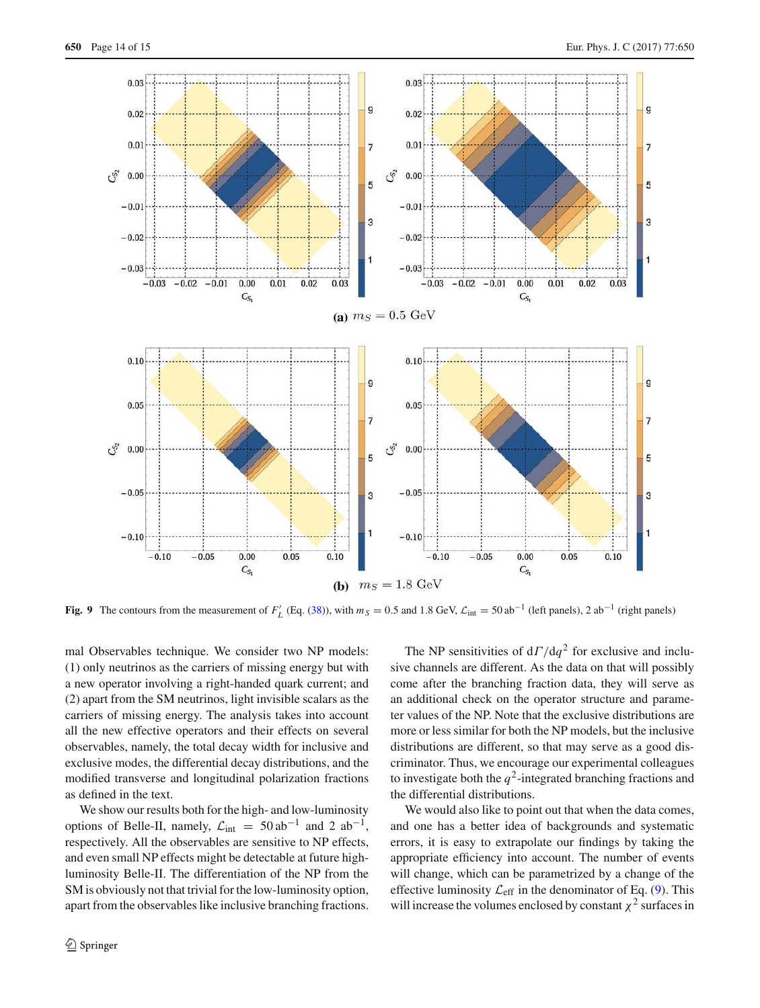

<span id="page-13-0"></span>**Fig. 9** The contours from the measurement of  $F'_{L}$  (Eq. [\(38\)](#page-6-3)), with  $m_S = 0.5$  and 1.8 GeV,  $\mathcal{L}_{int} = 50$  ab<sup>-1</sup> (left panels), 2 ab<sup>-1</sup> (right panels)

mal Observables technique. We consider two NP models: (1) only neutrinos as the carriers of missing energy but with a new operator involving a right-handed quark current; and (2) apart from the SM neutrinos, light invisible scalars as the carriers of missing energy. The analysis takes into account all the new effective operators and their effects on several observables, namely, the total decay width for inclusive and exclusive modes, the differential decay distributions, and the modified transverse and longitudinal polarization fractions as defined in the text.

We show our results both for the high- and low-luminosity options of Belle-II, namely,  $\mathcal{L}_{int} = 50 \text{ ab}^{-1}$  and 2  $\text{ab}^{-1}$ , respectively. All the observables are sensitive to NP effects, and even small NP effects might be detectable at future highluminosity Belle-II. The differentiation of the NP from the SM is obviously not that trivial for the low-luminosity option, apart from the observables like inclusive branching fractions.

The NP sensitivities of  $d\Gamma/dq^2$  for exclusive and inclusive channels are different. As the data on that will possibly come after the branching fraction data, they will serve as an additional check on the operator structure and parameter values of the NP. Note that the exclusive distributions are more or less similar for both the NP models, but the inclusive distributions are different, so that may serve as a good discriminator. Thus, we encourage our experimental colleagues to investigate both the  $q^2$ -integrated branching fractions and the differential distributions.

We would also like to point out that when the data comes, and one has a better idea of backgrounds and systematic errors, it is easy to extrapolate our findings by taking the appropriate efficiency into account. The number of events will change, which can be parametrized by a change of the effective luminosity  $\mathcal{L}_{\text{eff}}$  in the denominator of Eq. [\(9\)](#page-2-0). This will increase the volumes enclosed by constant  $\chi^2$  surfaces in